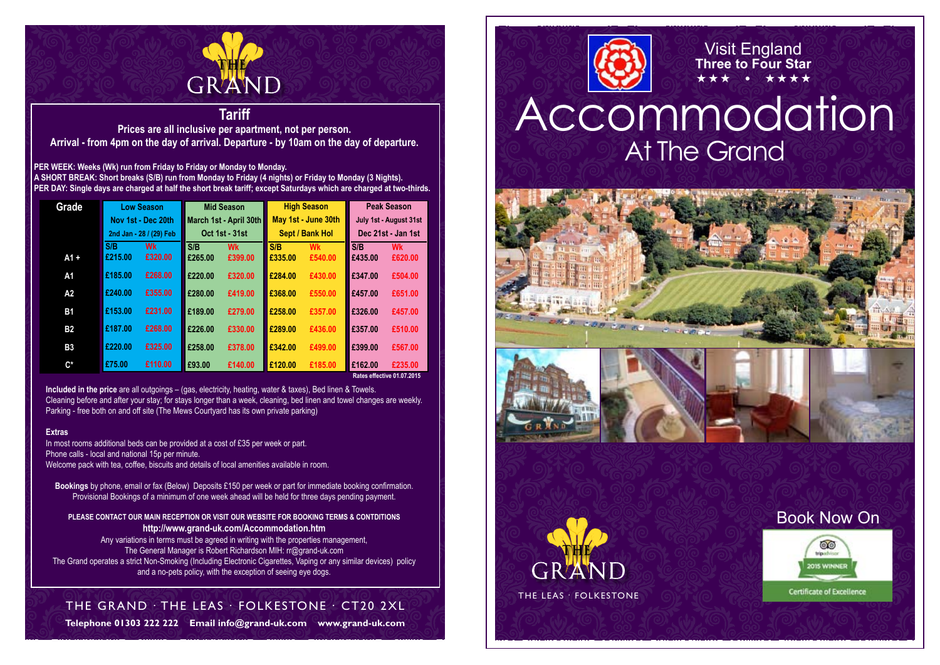

## **Tariff**

**Prices are all inclusive per apartment, not per person. Arrival - from 4pm on the day of arrival. Departure - by 10am on the day of departure.**

**PER WEEK: Weeks (Wk) run from Friday to Friday or Monday to Monday. A SHORT BREAK: Short breaks (S/B) run from Monday to Friday (4 nights) or Friday to Monday (3 Nights). PER DAY: Single days are charged at half the short break tariff; except Saturdays which are charged at two-thirds.**

| Grade              | <b>Low Season</b>          |           | <b>Mid Season</b>      |           | <b>High Season</b>  |           | <b>Peak Season</b>     |           |  |
|--------------------|----------------------------|-----------|------------------------|-----------|---------------------|-----------|------------------------|-----------|--|
|                    | Nov 1st - Dec 20th         |           | March 1st - April 30th |           | May 1st - June 30th |           | July 1st - August 31st |           |  |
|                    | 2nd Jan - 28 / (29) Feb    |           | <b>Oct 1st - 31st</b>  |           | Sept / Bank Hol     |           | Dec 21st - Jan 1st     |           |  |
|                    | S/B                        | <b>Wk</b> | S/B                    | <b>Wk</b> | S/B                 | <b>Wk</b> | S/B                    | <b>Wk</b> |  |
| $A1 +$             | £215.00                    | £320.00   | £265.00                | £399.00   | £335.00             | £540.00   | £435.00                | £620.00   |  |
| A1                 | £185.00                    | £268.00   | £220.00                | £320.00   | £284.00             | £430.00   | £347.00                | £504.00   |  |
| A2                 | £240.00                    | £355.00   | £280.00                | £419.00   | £368.00             | £550.00   | £457.00                | £651.00   |  |
| <b>B1</b>          | £153.00                    | £231.00   | £189.00                | £279.00   | £258.00             | £357.00   | £326.00                | £457.00   |  |
| <b>B2</b>          | £187.00                    | £268.00   | £226.00                | £330.00   | £289.00             | £436.00   | £357.00                | £510.00   |  |
| <b>B3</b>          | £220.00                    | £325.00   | £258.00                | £378.00   | £342.00             | £499.00   | £399.00                | £567.00   |  |
| $\mathsf{C}^\star$ | £75.00                     | £110.00   | £93.00                 | £140.00   | £120.00             | £185.00   | £162.00                | £235.00   |  |
|                    | Rates effective 01.07.2015 |           |                        |           |                     |           |                        |           |  |

**Included in the price** are all outgoings – (gas, electricity, heating, water & taxes), Bed linen & Towels. Cleaning before and after your stay; for stays longer than a week, cleaning, bed linen and towel changes are weekly. Parking - free both on and off site (The Mews Courtyard has its own private parking)

#### **Extras**

In most rooms additional beds can be provided at a cost of £35 per week or part. Phone calls - local and national 15p per minute. Welcome pack with tea, coffee, biscuits and details of local amenities available in room.

**Bookings** by phone, email or fax (Below) Deposits £150 per week or part for immediate booking confirmation. Provisional Bookings of a minimum of one week ahead will be held for three days pending payment.

#### **PLEASE CONTACT OUR MAIN RECEPTION OR VISIT OUR WEBSITE FOR BOOKING TERMS & CONTDITIONS http://www.grand-uk.com/Accommodation.htm**

Any variations in terms must be agreed in writing with the properties management, The General Manager is Robert Richardson MIH: rr@grand-uk.com The Grand operates a strict Non-Smoking (Including Electronic Cigarettes, Vaping or any similar devices) policy and a no-pets policy, with the exception of seeing eye dogs.

# The Grand . The Leas . Folkestone . CT20 2XL

**Telephone 01303 222 222 Email info@grand-uk.com www.grand-uk.com**



# Accommodation At The Grand

Visit England **Three to Four Star**  $\star\star\star$   $\bullet$   $\star\star\star\star$ 











## Book Now On